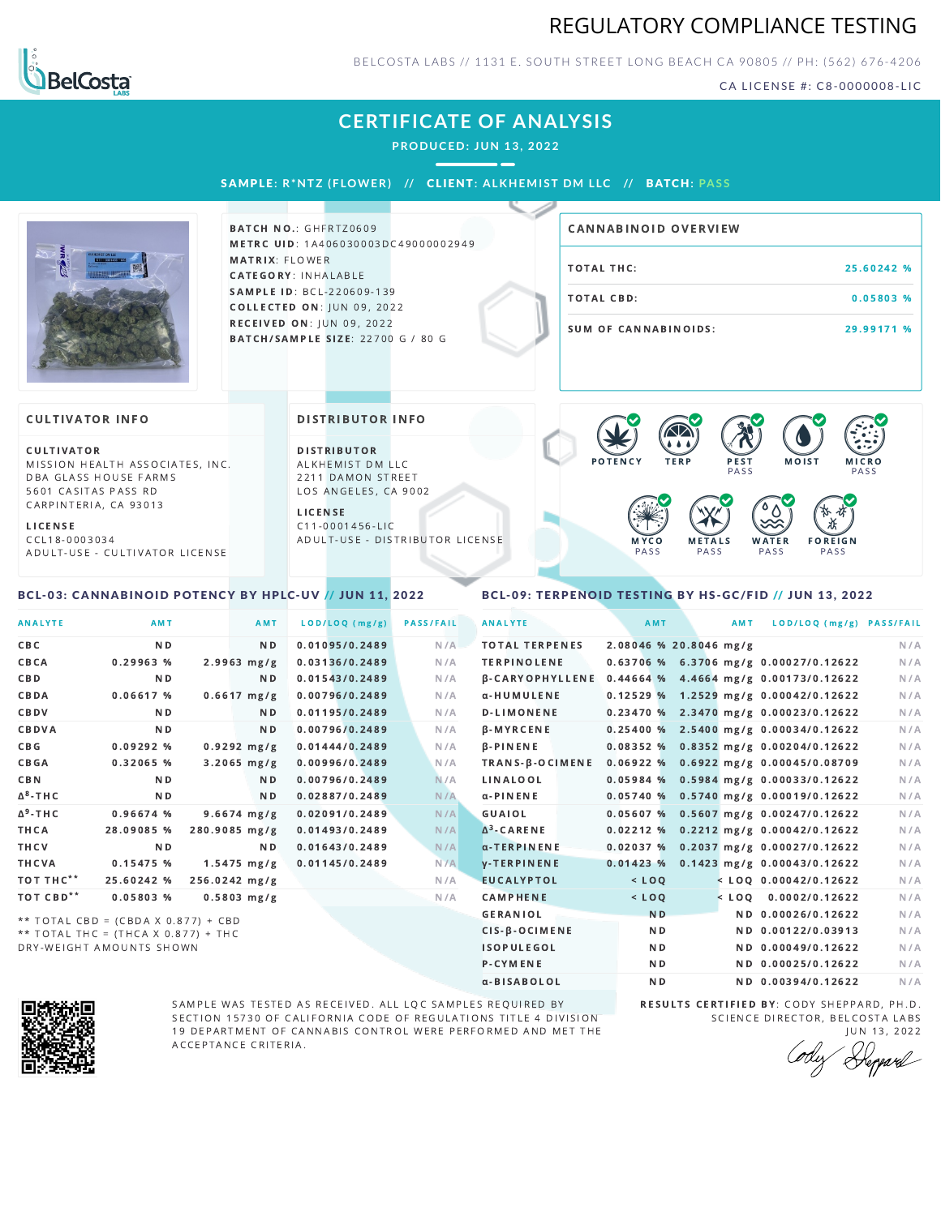## REGULATORY COMPLIANCE TESTING



BELCOSTA LABS // 1131 E. SOUTH STREET LONG BEACH C A 90805 // PH: (562) 676-4206

CA LICENSE #: C8-0000008-LIC

# **CERTIFICATE OF ANALYSIS**

**PRODUCED: JUN 13, 2022**

SAMPL E **: R\*NTZ ( F LOWER) //** CL I ENT**: A LKHEMI ST DM L LC //** BATCH**: PA S S**



**BATCH NO.: GHFRTZ0609** METRC UID: 1A406030003DC49000002949 MATRIX: FLOWER CATEGORY: INHALABLE SAMPLE ID: BCL-220609-139 **COLLECTED ON: JUN 09, 2022** RECEIVED ON: JUN 09, 2022 BATCH/SAMPLE SIZE: 22700 G / 80 G

# TOTAL THC: 25.60242 % TOTAL CBD: 0.05803 % SUM OF CANNABINOIDS: 29.99171 % CANNABINOID OVERVIEW

#### **CULTIVATOR INFO**

CULTIVATOR MISSION HEALTH ASSOCIATES, INC. DBA GLASS HOUSE FARMS 5601 CASITAS PASS RD CARPINTERIA, CA 93013

L I C E N S E

C C L 1 8 - 0 0 0 3 0 3 4 A D U L T - U S E - C U L T I V A T O R L I CENSE

<span id="page-0-0"></span>BCL-03: CANNABINOID POTENCY BY HPLC-UV // JUN 11, 2022

#### DISTRIBUTOR INFO

D I STRIBUTOR ALKHEMIST DM LLC 2211 DAMON STREET LOS ANGELES, CA 9002

L I C E N S E C 1 1 - 0 0 0 1 4 5 6 - L I C A D U L T - U S E - D I STRIBUTOR LICENSE



#### <span id="page-0-1"></span>BCL-09: TERPENOID TESTING BY HS-GC/FID // JUN 13, 2022

| <b>ANALYTE</b>        | AMT                                 | <b>AMT</b>            | LOD/LOQ (mg/g) | <b>PASS/FAIL</b> | <b>ANALYTE</b>         | AMT            | AMT                    | LOD/LOQ (mg/g) PASS/FAIL                |     |
|-----------------------|-------------------------------------|-----------------------|----------------|------------------|------------------------|----------------|------------------------|-----------------------------------------|-----|
| CBC                   | N <sub>D</sub>                      | N <sub>D</sub>        | 0.01095/0.2489 | N/A              | <b>TOTAL TERPENES</b>  |                | 2.08046 % 20.8046 mg/g |                                         | N/A |
| CBCA                  | 0.29963%                            | $2.9963 \, mg/g$      | 0.03136/0.2489 | N/A              | <b>TERPINOLENE</b>     |                |                        | 0.63706 % 6.3706 mg/g 0.00027/0.12622   | N/A |
| CBD                   | N <sub>D</sub>                      | ND.                   | 0.01543/0.2489 | N/A              | <b>B-CARYOPHYLLENE</b> | 0.44664%       |                        | 4.4664 mg/g 0.00173/0.12622             | N/A |
| CBDA                  | 0.06617%                            | $0.6617$ mg/g         | 0.00796/0.2489 | N/A              | α-HUMULENE             |                |                        | $0.12529\%$ 1.2529 mg/g 0.00042/0.12622 | N/A |
| CBDV                  | N <sub>D</sub>                      | N <sub>D</sub>        | 0.01195/0.2489 | N/A              | D-LIMONENE             |                |                        | $0.23470$ % 2.3470 mg/g 0.00023/0.12622 | N/A |
| CBDVA                 | N <sub>D</sub>                      | N <sub>D</sub>        | 0.00796/0.2489 | N/A              | <b>B-MYRCENE</b>       |                |                        | $0.25400 %$ 2.5400 mg/g 0.00034/0.12622 | N/A |
| C B G                 | 0.09292%                            | $0.9292 \text{ mg/g}$ | 0.01444/0.2489 | N/A              | $\beta$ -PINENE        |                |                        | $0.08352$ % 0.8352 mg/g 0.00204/0.12622 | N/A |
| <b>CBGA</b>           | 0.32065 %                           | $3.2065$ mg/g         | 0.00996/0.2489 | N/A              | TRANS-B-OCIMENE        |                |                        | $0.06922$ % 0.6922 mg/g 0.00045/0.08709 | N/A |
| <b>CBN</b>            | N <sub>D</sub>                      | ND.                   | 0.00796/0.2489 | N/A              | LINALOOL               |                |                        | 0.05984 % 0.5984 mg/g 0.00033/0.12622   | N/A |
| $\Delta^8$ -THC       | N <sub>D</sub>                      | ND.                   | 0.02887/0.2489 | N/A              | $\alpha$ -PINENE       |                |                        | $0.05740$ % 0.5740 mg/g 0.00019/0.12622 | N/A |
| $\Delta^9$ -THC       | 0.96674%                            | $9.6674$ mg/g         | 0.02091/0.2489 | N/A              | GUAIOL                 | 0.05607%       |                        | $0.5607$ mg/g $0.00247/0.12622$         | N/A |
| THCA                  | 28.09085 %                          | 280.9085 mg/g         | 0.01493/0.2489 | N/A              | $\Delta^3$ -CARENE     |                |                        | $0.02212$ % 0.2212 mg/g 0.00042/0.12622 | N/A |
| THCV                  | N <sub>D</sub>                      | ND.                   | 0.01643/0.2489 | N/A              | α-TERPINENE            | 0.02037%       |                        | $0.2037$ mg/g $0.00027/0.12622$         | N/A |
| THCVA                 | 0.15475 %                           | $1.5475$ mg/g         | 0.01145/0.2489 | N/A              | <b>V-TERPINENE</b>     | 0.01423%       |                        | 0.1423 mg/g 0.00043/0.12622             | N/A |
| TOT THC <sup>**</sup> | 25.60242 %                          | 256.0242 mg/g         |                | N/A              | <b>EUCALYPTOL</b>      | $<$ LOQ        |                        | $<$ LOQ 0.00042/0.12622                 | N/A |
| TOT CBD <sup>**</sup> | 0.05803%                            | $0.5803$ mg/g         |                | N/A              | <b>CAMPHENE</b>        | $<$ LOQ        |                        | $<$ LOQ 0.0002/0.12622                  | N/A |
|                       | ** TOTAL CBD = (CBDA X 0.877) + CBD |                       |                |                  | <b>GERANIOL</b>        | <b>ND</b>      |                        | ND 0.00026/0.12622                      | N/A |
|                       | ** TOTAL THC = (THCA X 0.877) + THC |                       |                |                  | $CIS-B-OCIMENE$        | N <sub>D</sub> |                        | ND 0.00122/0.03913                      | N/A |
|                       | DRY-WEIGHT AMOUNTS SHOWN            |                       |                |                  | <b>ISOPULEGOL</b>      | N <sub>D</sub> |                        | ND 0.00049/0.12622                      | N/A |



SAMPLE WAS TESTED AS RECEIVED. ALL LQC SAMPLES REQUIRED BY SECTION 15730 OF CALIFORNIA CODE OF REGULATIONS TITLE 4 DIVISION 19 DEPARTMENT OF CANNABIS CONTROL WERE PERFORMED AND MET THE A C C E P T A N C E C R I T E R I A.

RESULTS CERTIFIED BY: CODY SHEPPARD, PH.D. SCIENCE DIRECTOR, BELCOSTA LABS

P-CYMENE ND ND ND 0.00025/0.12622 N/A α-BISABOLOL **ND ND 0.00394/0.12622** N/A

JUN 13, 2022<br>Heppard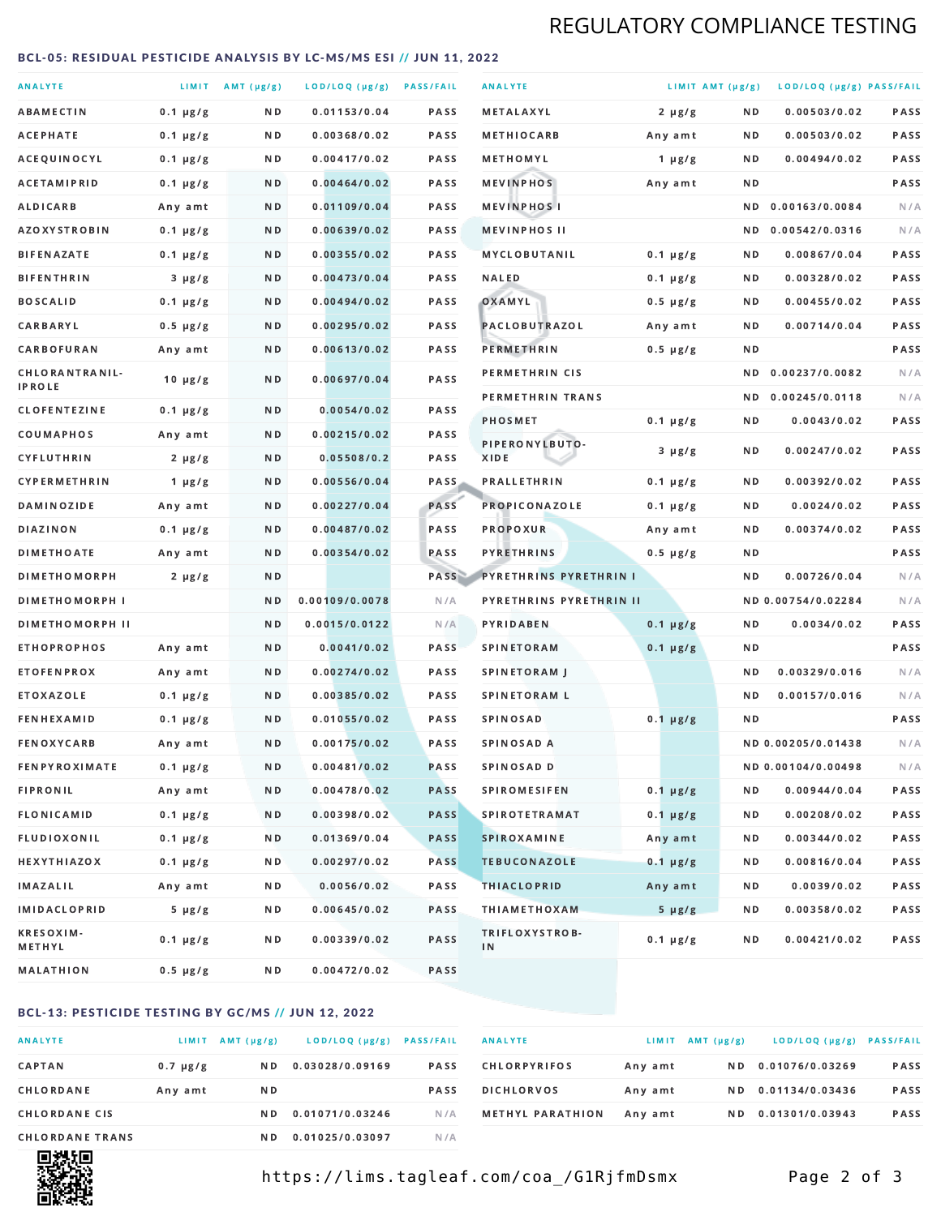# REGULATORY COMPLIANCE TESTING

#### <span id="page-1-0"></span>BCL-05: RESIDUAL PESTICIDE ANALYSIS BY LC-MS/MS ESI // JUN 11, 2022

| <b>ANALYTE</b>                  |               | LIMIT AMT (µg/g) | LOD/LOQ (µg/g) PASS/FAIL |             | <b>ANALYTE</b>                | LIMIT AMT (µg/g) |     | LOD/LOQ (µg/g) PASS/FAIL |             |
|---------------------------------|---------------|------------------|--------------------------|-------------|-------------------------------|------------------|-----|--------------------------|-------------|
| <b>ABAMECTIN</b>                | $0.1 \mu g/g$ | ND.              | 0.01153/0.04             | <b>PASS</b> | <b>METALAXYL</b>              | $2 \mu g/g$      | N D | 0.00503/0.02             | PASS        |
| ACEPHATE                        | $0.1 \mu g/g$ | N D              | 0.00368/0.02             | <b>PASS</b> | <b>METHIOCARB</b>             | Any amt          | N D | 0.00503/0.02             | <b>PASS</b> |
| ACEQUINOCYL                     | $0.1 \mu g/g$ | N D              | 0.00417/0.02             | PASS        | METHOMYL                      | 1 $\mu$ g/g      | N D | 0.00494/0.02             | PASS        |
| <b>ACETAMIPRID</b>              | $0.1 \mu g/g$ | ND.              | 0.00464/0.02             | <b>PASS</b> | <b>MEVINPHOS</b>              | Any amt          | N D |                          | PASS        |
| <b>ALDICARB</b>                 | Any amt       | N D              | 0.01109/0.04             | <b>PASS</b> | <b>MEVINPHOSI</b>             |                  | N D | 0.00163/0.0084           | N/A         |
| <b>AZOXYSTROBIN</b>             | $0.1 \mu g/g$ | N D              | 0.00639/0.02             | <b>PASS</b> | <b>MEVINPHOS II</b>           |                  | ND. | 0.00542/0.0316           | N/A         |
| <b>BIFENAZATE</b>               | $0.1 \mu g/g$ | N D              | 0.00355/0.02             | <b>PASS</b> | <b>MYCLOBUTANIL</b>           | $0.1 \mu g/g$    | N D | 0.00867/0.04             | PASS        |
| <b>BIFENTHRIN</b>               | $3 \mu g/g$   | N D              | 0.00473/0.04             | <b>PASS</b> | <b>NALED</b>                  | $0.1 \mu g/g$    | N D | 0.00328/0.02             | PASS        |
| <b>BOSCALID</b>                 | $0.1 \mu g/g$ | N D              | 0.00494/0.02             | PASS        | OXAMYL                        | $0.5 \mu g/g$    | N D | 0.00455/0.02             | <b>PASS</b> |
| CARBARYL                        | $0.5 \mu g/g$ | N D              | 0.00295/0.02             | PASS        | PACLOBUTRAZOL                 | Any amt          | N D | 0.00714/0.04             | PASS        |
| CARBOFURAN                      | Any amt       | N D              | 0.00613/0.02             | <b>PASS</b> | PERMETHRIN                    | $0.5 \mu g/g$    | N D |                          | PASS        |
| CHLORANTRANIL-<br><b>IPROLE</b> | $10 \mu g/g$  | N D              | 0.00697/0.04             | PASS        | PERMETHRIN CIS                |                  | N D | 0.00237/0.0082           | N/A         |
| <b>CLOFENTEZINE</b>             | $0.1 \mu g/g$ | ND               | 0.0054/0.02              | <b>PASS</b> | PERMETHRIN TRANS              |                  |     | ND 0.00245/0.0118        | N/A         |
| COUMAPHOS                       | Any amt       | N D              | 0.00215/0.02             | <b>PASS</b> | <b>PHOSMET</b>                | $0.1 \mu g/g$    | N D | 0.0043/0.02              | PASS        |
| CYFLUTHRIN                      | $2 \mu g/g$   | ND.              | 0.05508/0.2              | <b>PASS</b> | PIPERONYLBUTO-<br>XIDE        | $3 \mu g/g$      | N D | 0.00247/0.02             | PASS        |
| <b>CYPERMETHRIN</b>             | 1 $\mu$ g/g   | N D              | 0.00556/0.04             | <b>PASS</b> | <b>PRALLETHRIN</b>            | $0.1 \mu g/g$    | N D | 0.00392/0.02             | PASS        |
| <b>DAMINOZIDE</b>               | Any amt       | ND.              | 0.00227/0.04             | PASS        | PROPICONAZOLE                 | $0.1 \mu g/g$    | N D | 0.0024/0.02              | PASS        |
| <b>DIAZINON</b>                 | $0.1 \mu g/g$ | N D              | 0.00487/0.02             | <b>PASS</b> | <b>PROPOXUR</b>               | Any amt          | N D | 0.00374/0.02             | PASS        |
| <b>DIMETHOATE</b>               | Any amt       | N D              | 0.00354/0.02             | PASS        | <b>PYRETHRINS</b>             | $0.5 \mu g/g$    | N D |                          | PASS        |
| <b>DIMETHOMORPH</b>             | $2 \mu g/g$   | N D              |                          | PASS        | <b>PYRETHRINS PYRETHRIN I</b> |                  | N D | 0.00726/0.04             | N/A         |
| <b>DIMETHOMORPH I</b>           |               | N D              | 0.00109/0.0078           | N/A         | PYRETHRINS PYRETHRIN II       |                  |     | ND 0.00754/0.02284       | N/A         |
| <b>DIMETHOMORPH II</b>          |               | ND               | 0.0015/0.0122            | N/A         | PYRIDABEN                     | $0.1 \mu g/g$    | N D | 0.0034/0.02              | PASS        |
| <b>ETHOPROPHOS</b>              | Any amt       | ND.              | 0.0041/0.02              | PASS        | <b>SPINETORAM</b>             | $0.1 \mu g/g$    | N D |                          | PASS        |
| <b>ETOFENPROX</b>               | Any amt       | N D              | 0.00274/0.02             | <b>PASS</b> | SPINETORAM J                  |                  | N D | 0.00329/0.016            | N/A         |
| <b>ETOXAZOLE</b>                | $0.1 \mu g/g$ | ND.              | 0.00385/0.02             | <b>PASS</b> | <b>SPINETORAM L</b>           |                  | N D | 0.00157/0.016            | N/A         |
| <b>FENHEXAMID</b>               | $0.1 \mu g/g$ | N D              | 0.01055/0.02             | PASS        | <b>SPINOSAD</b>               | $0.1 \mu g/g$    | N D |                          | PASS        |
| <b>FENOXYCARB</b>               | Any amt       | N D              | 0.00175/0.02             | <b>PASS</b> | <b>SPINOSAD A</b>             |                  |     | ND 0.00205/0.01438       | N/A         |
| <b>FENPYROXIMATE</b>            | $0.1 \mu g/g$ | N D              | 0.00481/0.02             | <b>PASS</b> | SPINOSAD D                    |                  |     | ND 0.00104/0.00498       | N/A         |
| <b>FIPRONIL</b>                 | Any amt       | N D              | 0.00478/0.02             | <b>PASS</b> | <b>SPIROMESIFEN</b>           | $0.1 \mu g/g$    | N D | 0.00944/0.04             | PASS        |
| <b>FLONICAMID</b>               | $0.1 \mu g/g$ | N D              | 0.00398/0.02             | <b>PASS</b> | <b>SPIROTETRAMAT</b>          | $0.1 \mu g/g$    | N D | 0.00208/0.02             | PASS        |
| FLUDIOXONIL                     | $0.1 \mu g/g$ | N D              | 0.01369/0.04             | <b>PASS</b> | SPIROXAMINE                   | Any amt          | N D | 0.00344/0.02             | PASS        |
| <b>HEXYTHIAZOX</b>              | $0.1 \mu g/g$ | N D              | 0.00297/0.02             | PASS        | <b>TEBUCONAZOLE</b>           | $0.1 \mu g/g$    | N D | 0.00816/0.04             | PASS        |
| IMAZALIL                        | Any amt       | N D              | 0.0056/0.02              | PASS        | <b>THIACLOPRID</b>            | Any amt          | N D | 0.0039/0.02              | PASS        |
| <b>IMIDACLOPRID</b>             | $5 \mu g/g$   | N D              | 0.00645/0.02             | PASS        | <b>THIAMETHOXAM</b>           | $5 \mu g/g$      | N D | 0.00358/0.02             | PASS        |
| <b>KRESOXIM-</b><br>METHYL      | $0.1 \mu g/g$ | N D              | 0.00339/0.02             | PASS        | TRIFLOXYSTROB-<br>IN          | $0.1 \mu g/g$    | N D | 0.00421/0.02             | PASS        |
| <b>MALATHION</b>                | 0.5 µg/g      | N D              | 0.00472/0.02             | PASS        |                               |                  |     |                          |             |

### BCL-13: PESTICIDE TESTING BY GC/MS // JUN 12, 2022

| <b>ANALYTE</b>         | <b>LIMIT</b>  | $AMT(\mu g/g)$ | LOD/LOQ (µg/g)  | <b>PASS/FAIL</b> |
|------------------------|---------------|----------------|-----------------|------------------|
| <b>CAPTAN</b>          | $0.7 \mu g/g$ | N D            | 0.03028/0.09169 | <b>PASS</b>      |
| CHLORDANE              | Any amt       | N D            |                 | <b>PASS</b>      |
| <b>CHLORDANE CIS</b>   |               | N D            | 0.01071/0.03246 | N / A            |
| <b>CHLORDANE TRANS</b> |               | N D            | 0.01025/0.03097 | N/A              |

| <b>ANALYTE</b>          | LIMIT   | $AMT(\mu g/g)$ | LOD/LOQ (µg/g)  | <b>PASS/FAIL</b> |
|-------------------------|---------|----------------|-----------------|------------------|
| <b>CHLORPYRIFOS</b>     | Any amt | N D            | 0.01076/0.03269 | <b>PASS</b>      |
| <b>DICHLORVOS</b>       | Any amt | N D            | 0.01134/0.03436 | <b>PASS</b>      |
| <b>METHYL PARATHION</b> | Any amt | N D            | 0.01301/0.03943 | <b>PASS</b>      |